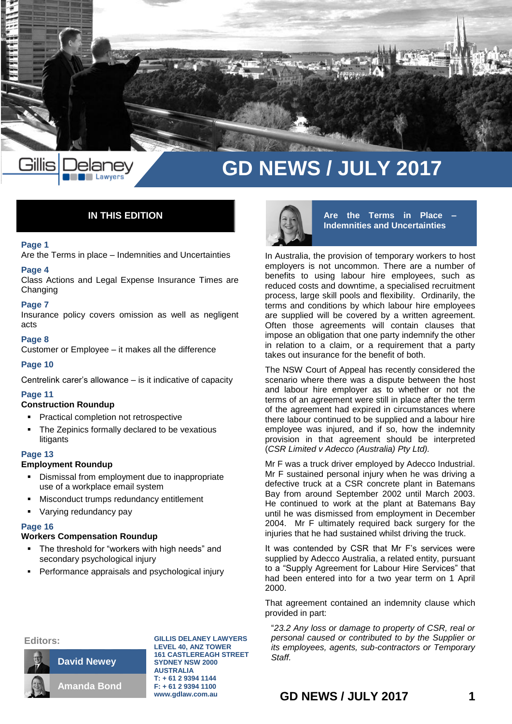

# **IN THIS EDITION**

### **Page 1**

Are the Terms in place – Indemnities and Uncertainties

### **Page 4**

Class Actions and Legal Expense Insurance Times are Changing

#### **Page 7**

Insurance policy covers omission as well as negligent acts

#### **Page 8**

Customer or Employee – it makes all the difference

#### **Page 10**

Centrelink carer's allowance – is it indicative of capacity

### **Page 11**

### **Construction Roundup**

- Practical completion not retrospective
- The Zepinics formally declared to be vexatious **litigants**

#### **Page 13**

## **Employment Roundup**

- Dismissal from employment due to inappropriate use of a workplace email system
- Misconduct trumps redundancy entitlement
- Varying redundancy pay

### **Page 16**

#### **Workers Compensation Roundup**

- The threshold for "workers with high needs" and secondary psychological injury
- Performance appraisals and psychological injury



**Are the Terms in Place – Indemnities and Uncertainties**

In Australia, the provision of temporary workers to host employers is not uncommon. There are a number of benefits to using labour hire employees, such as reduced costs and downtime, a specialised recruitment process, large skill pools and flexibility. Ordinarily, the terms and conditions by which labour hire employees are supplied will be covered by a written agreement. Often those agreements will contain clauses that impose an obligation that one party indemnify the other in relation to a claim, or a requirement that a party takes out insurance for the benefit of both.

The NSW Court of Appeal has recently considered the scenario where there was a dispute between the host and labour hire employer as to whether or not the terms of an agreement were still in place after the term of the agreement had expired in circumstances where there labour continued to be supplied and a labour hire employee was injured, and if so, how the indemnity provision in that agreement should be interpreted (*CSR Limited v Adecco (Australia) Pty Ltd).*

Mr F was a truck driver employed by Adecco Industrial. Mr F sustained personal injury when he was driving a defective truck at a CSR concrete plant in Batemans Bay from around September 2002 until March 2003. He continued to work at the plant at Batemans Bay until he was dismissed from employment in December 2004. Mr F ultimately required back surgery for the injuries that he had sustained whilst driving the truck.

It was contended by CSR that Mr F's services were supplied by Adecco Australia, a related entity, pursuant to a "Supply Agreement for Labour Hire Services" that had been entered into for a two year term on 1 April 2000.

That agreement contained an indemnity clause which provided in part:

"*23.2 Any loss or damage to property of CSR, real or personal caused or contributed to by the Supplier or its employees, agents, sub-contractors or Temporary Staff.*





**GILLIS DELANEY LAWYERS LEVEL 40, ANZ TOWER 161 CASTLEREAGH STREET SYDNEY NSW 2000 AUSTRALIA T: + 61 2 9394 1144 F: + 61 2 9394 1100 www.gdlaw.com.au**

**GD NEWS / JULY 2017 1**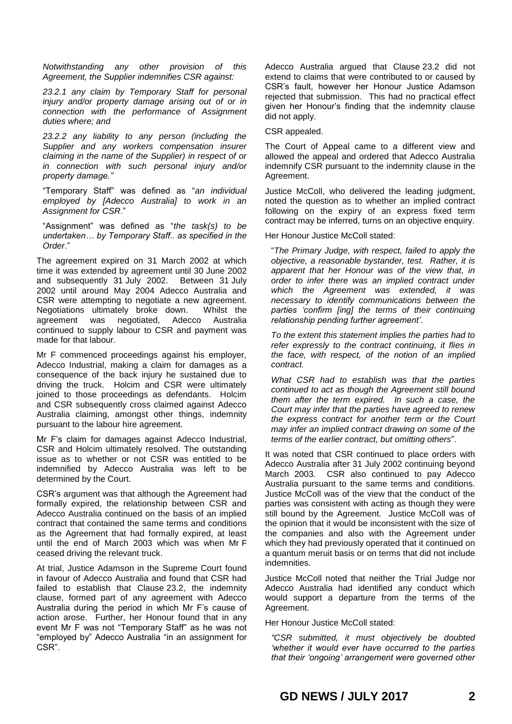*Notwithstanding any other provision of this Agreement, the Supplier indemnifies CSR against:*

*23.2.1 any claim by Temporary Staff for personal injury and/or property damage arising out of or in connection with the performance of Assignment duties where; and* 

*23.2.2 any liability to any person (including the Supplier and any workers compensation insurer claiming in the name of the Supplier) in respect of or in connection with such personal injury and/or property damage."*

"Temporary Staff" was defined as "*an individual employed by [Adecco Australia] to work in an Assignment for CSR*."

"Assignment" was defined as "*the task(s) to be undertaken… by Temporary Staff.. as specified in the Order*."

The agreement expired on 31 March 2002 at which time it was extended by agreement until 30 June 2002 and subsequently 31 July 2002. Between 31 July 2002 until around May 2004 Adecco Australia and CSR were attempting to negotiate a new agreement. Negotiations ultimately broke down. Whilst the agreement was negotiated, Adecco Australia continued to supply labour to CSR and payment was made for that labour.

Mr F commenced proceedings against his employer, Adecco Industrial, making a claim for damages as a consequence of the back injury he sustained due to driving the truck. Holcim and CSR were ultimately joined to those proceedings as defendants. Holcim and CSR subsequently cross claimed against Adecco Australia claiming, amongst other things, indemnity pursuant to the labour hire agreement.

Mr F's claim for damages against Adecco Industrial, CSR and Holcim ultimately resolved. The outstanding issue as to whether or not CSR was entitled to be indemnified by Adecco Australia was left to be determined by the Court.

CSR's argument was that although the Agreement had formally expired, the relationship between CSR and Adecco Australia continued on the basis of an implied contract that contained the same terms and conditions as the Agreement that had formally expired, at least until the end of March 2003 which was when Mr F ceased driving the relevant truck.

At trial, Justice Adamson in the Supreme Court found in favour of Adecco Australia and found that CSR had failed to establish that Clause 23.2, the indemnity clause, formed part of any agreement with Adecco Australia during the period in which Mr F's cause of action arose. Further, her Honour found that in any event Mr F was not "Temporary Staff" as he was not "employed by" Adecco Australia "in an assignment for CSR".

Adecco Australia argued that Clause 23.2 did not extend to claims that were contributed to or caused by CSR's fault, however her Honour Justice Adamson rejected that submission. This had no practical effect given her Honour's finding that the indemnity clause did not apply.

CSR appealed.

The Court of Appeal came to a different view and allowed the appeal and ordered that Adecco Australia indemnify CSR pursuant to the indemnity clause in the Agreement.

Justice McColl, who delivered the leading judgment, noted the question as to whether an implied contract following on the expiry of an express fixed term contract may be inferred, turns on an objective enquiry.

Her Honour Justice McColl stated:

"*The Primary Judge, with respect, failed to apply the objective, a reasonable bystander, test. Rather, it is apparent that her Honour was of the view that, in order to infer there was an implied contract under which the Agreement was extended, it was necessary to identify communications between the parties 'confirm [ing] the terms of their continuing relationship pending further agreement'*.

*To the extent this statement implies the parties had to refer expressly to the contract continuing, it flies in the face, with respect, of the notion of an implied contract.* 

*What CSR had to establish was that the parties continued to act as though the Agreement still bound them after the term expired. In such a case, the Court may infer that the parties have agreed to renew the express contract for another term or the Court may infer an implied contract drawing on some of the terms of the earlier contract, but omitting others*".

It was noted that CSR continued to place orders with Adecco Australia after 31 July 2002 continuing beyond March 2003. CSR also continued to pay Adecco Australia pursuant to the same terms and conditions. Justice McColl was of the view that the conduct of the parties was consistent with acting as though they were still bound by the Agreement. Justice McColl was of the opinion that it would be inconsistent with the size of the companies and also with the Agreement under which they had previously operated that it continued on a quantum meruit basis or on terms that did not include indemnities.

Justice McColl noted that neither the Trial Judge nor Adecco Australia had identified any conduct which would support a departure from the terms of the Agreement.

Her Honour Justice McColl stated:

*"CSR submitted, it must objectively be doubted 'whether it would ever have occurred to the parties that their 'ongoing' arrangement were governed other*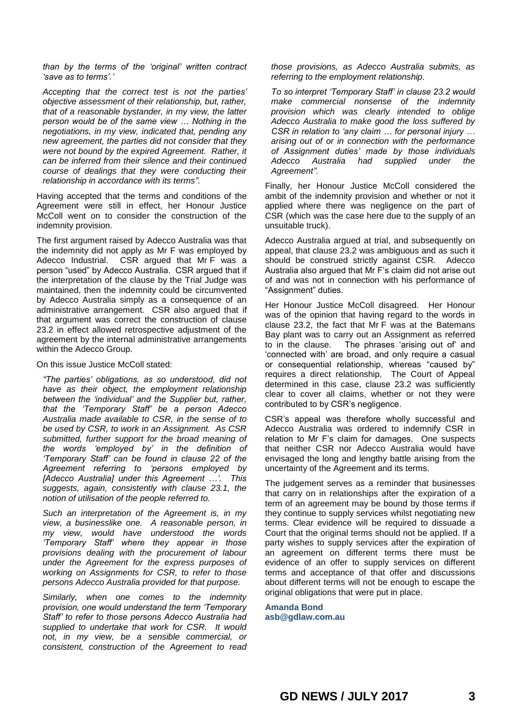*than by the terms of the 'original' written contract 'save as to terms'.'*

*Accepting that the correct test is not the parties' objective assessment of their relationship, but, rather, that of a reasonable bystander, in my view, the latter person would be of the same view … Nothing in the negotiations, in my view, indicated that, pending any new agreement, the parties did not consider that they were not bound by the expired Agreement. Rather, it can be inferred from their silence and their continued course of dealings that they were conducting their relationship in accordance with its terms".*

Having accepted that the terms and conditions of the Agreement were still in effect, her Honour Justice McColl went on to consider the construction of the indemnity provision.

The first argument raised by Adecco Australia was that the indemnity did not apply as Mr F was employed by Adecco Industrial. CSR argued that Mr F was a person "used" by Adecco Australia. CSR argued that if the interpretation of the clause by the Trial Judge was maintained, then the indemnity could be circumvented by Adecco Australia simply as a consequence of an administrative arrangement. CSR also argued that if that argument was correct the construction of clause 23.2 in effect allowed retrospective adjustment of the agreement by the internal administrative arrangements within the Adecco Group.

#### On this issue Justice McColl stated:

*"The parties' obligations, as so understood, did not have as their object, the employment relationship between the 'individual' and the Supplier but, rather, that the 'Temporary Staff' be a person Adecco Australia made available to CSR, in the sense of to be used by CSR, to work in an Assignment. As CSR submitted, further support for the broad meaning of the words 'employed by' in the definition of 'Temporary Staff' can be found in clause 22 of the Agreement referring to 'persons employed by [Adecco Australia] under this Agreement …'. This suggests, again, consistently with clause 23.1, the notion of utilisation of the people referred to.* 

*Such an interpretation of the Agreement is, in my view, a businesslike one. A reasonable person, in my view, would have understood the words 'Temporary Staff' where they appear in those provisions dealing with the procurement of labour under the Agreement for the express purposes of working on Assignments for CSR, to refer to those persons Adecco Australia provided for that purpose.*

*Similarly, when one comes to the indemnity provision, one would understand the term 'Temporary Staff' to refer to those persons Adecco Australia had supplied to undertake that work for CSR. It would not, in my view, be a sensible commercial, or consistent, construction of the Agreement to read*  *those provisions, as Adecco Australia submits, as referring to the employment relationship.* 

*To so interpret 'Temporary Staff' in clause 23.2 would make commercial nonsense of the indemnity provision which was clearly intended to oblige Adecco Australia to make good the loss suffered by CSR in relation to 'any claim … for personal injury … arising out of or in connection with the performance of Assignment duties' made by those individuals Adecco Australia had supplied under the Agreement".*

Finally, her Honour Justice McColl considered the ambit of the indemnity provision and whether or not it applied where there was negligence on the part of CSR (which was the case here due to the supply of an unsuitable truck).

Adecco Australia argued at trial, and subsequently on appeal, that clause 23.2 was ambiguous and as such it should be construed strictly against CSR. Adecco Australia also argued that Mr F's claim did not arise out of and was not in connection with his performance of "Assignment" duties.

Her Honour Justice McColl disagreed. Her Honour was of the opinion that having regard to the words in clause 23.2, the fact that Mr F was at the Batemans Bay plant was to carry out an Assignment as referred to in the clause. The phrases 'arising out of' and 'connected with' are broad, and only require a casual or consequential relationship, whereas "caused by" requires a direct relationship. The Court of Appeal determined in this case, clause 23.2 was sufficiently clear to cover all claims, whether or not they were contributed to by CSR's negligence.

CSR's appeal was therefore wholly successful and Adecco Australia was ordered to indemnify CSR in relation to Mr F's claim for damages. One suspects that neither CSR nor Adecco Australia would have envisaged the long and lengthy battle arising from the uncertainty of the Agreement and its terms.

The judgement serves as a reminder that businesses that carry on in relationships after the expiration of a term of an agreement may be bound by those terms if they continue to supply services whilst negotiating new terms. Clear evidence will be required to dissuade a Court that the original terms should not be applied. If a party wishes to supply services after the expiration of an agreement on different terms there must be evidence of an offer to supply services on different terms and acceptance of that offer and discussions about different terms will not be enough to escape the original obligations that were put in place.

**Amanda Bond [asb@gdlaw.com.au](mailto:asb@gdlaw.com.au)**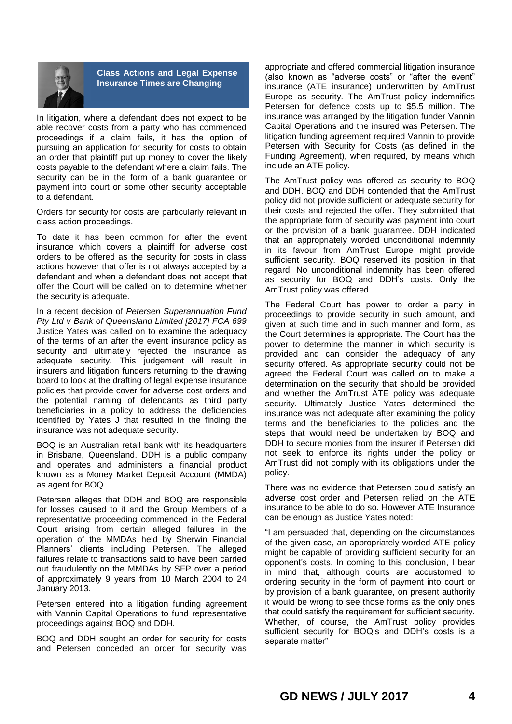

**Class Actions and Legal Expense Insurance Times are Changing**

In litigation, where a defendant does not expect to be able recover costs from a party who has commenced proceedings if a claim fails, it has the option of pursuing an application for security for costs to obtain an order that plaintiff put up money to cover the likely costs payable to the defendant where a claim fails. The security can be in the form of a bank guarantee or payment into court or some other security acceptable to a defendant.

Orders for security for costs are particularly relevant in class action proceedings.

To date it has been common for after the event insurance which covers a plaintiff for adverse cost orders to be offered as the security for costs in class actions however that offer is not always accepted by a defendant and when a defendant does not accept that offer the Court will be called on to determine whether the security is adequate.

In a recent decision of *Petersen Superannuation Fund Pty Ltd v Bank of Queensland Limited [2017] FCA 699* Justice Yates was called on to examine the adequacy of the terms of an after the event insurance policy as security and ultimately rejected the insurance as adequate security. This judgement will result in insurers and litigation funders returning to the drawing board to look at the drafting of legal expense insurance policies that provide cover for adverse cost orders and the potential naming of defendants as third party beneficiaries in a policy to address the deficiencies identified by Yates J that resulted in the finding the insurance was not adequate security.

BOQ is an Australian retail bank with its headquarters in Brisbane, Queensland. DDH is a public company and operates and administers a financial product known as a Money Market Deposit Account (MMDA) as agent for BOQ.

Petersen alleges that DDH and BOQ are responsible for losses caused to it and the Group Members of a representative proceeding commenced in the Federal Court arising from certain alleged failures in the operation of the MMDAs held by Sherwin Financial Planners' clients including Petersen. The alleged failures relate to transactions said to have been carried out fraudulently on the MMDAs by SFP over a period of approximately 9 years from 10 March 2004 to 24 January 2013.

Petersen entered into a litigation funding agreement with Vannin Capital Operations to fund representative proceedings against BOQ and DDH.

BOQ and DDH sought an order for security for costs and Petersen conceded an order for security was

appropriate and offered commercial litigation insurance (also known as "adverse costs" or "after the event" insurance (ATE insurance) underwritten by AmTrust Europe as security. The AmTrust policy indemnifies Petersen for defence costs up to \$5.5 million. The insurance was arranged by the litigation funder Vannin Capital Operations and the insured was Petersen. The litigation funding agreement required Vannin to provide Petersen with Security for Costs (as defined in the Funding Agreement), when required, by means which include an ATE policy.

The AmTrust policy was offered as security to BOQ and DDH. BOQ and DDH contended that the AmTrust policy did not provide sufficient or adequate security for their costs and rejected the offer. They submitted that the appropriate form of security was payment into court or the provision of a bank guarantee. DDH indicated that an appropriately worded unconditional indemnity in its favour from AmTrust Europe might provide sufficient security. BOQ reserved its position in that regard. No unconditional indemnity has been offered as security for BOQ and DDH's costs. Only the AmTrust policy was offered.

The Federal Court has power to order a party in proceedings to provide security in such amount, and given at such time and in such manner and form, as the Court determines is appropriate. The Court has the power to determine the manner in which security is provided and can consider the adequacy of any security offered. As appropriate security could not be agreed the Federal Court was called on to make a determination on the security that should be provided and whether the AmTrust ATE policy was adequate security. Ultimately Justice Yates determined the insurance was not adequate after examining the policy terms and the beneficiaries to the policies and the steps that would need be undertaken by BOQ and DDH to secure monies from the insurer if Petersen did not seek to enforce its rights under the policy or AmTrust did not comply with its obligations under the policy.

There was no evidence that Petersen could satisfy an adverse cost order and Petersen relied on the ATE insurance to be able to do so. However ATE Insurance can be enough as Justice Yates noted:

"I am persuaded that, depending on the circumstances of the given case, an appropriately worded ATE policy might be capable of providing sufficient security for an opponent's costs. In coming to this conclusion, I bear in mind that, although courts are accustomed to ordering security in the form of payment into court or by provision of a bank guarantee, on present authority it would be wrong to see those forms as the only ones that could satisfy the requirement for sufficient security. Whether, of course, the AmTrust policy provides sufficient security for BOQ's and DDH's costs is a separate matter"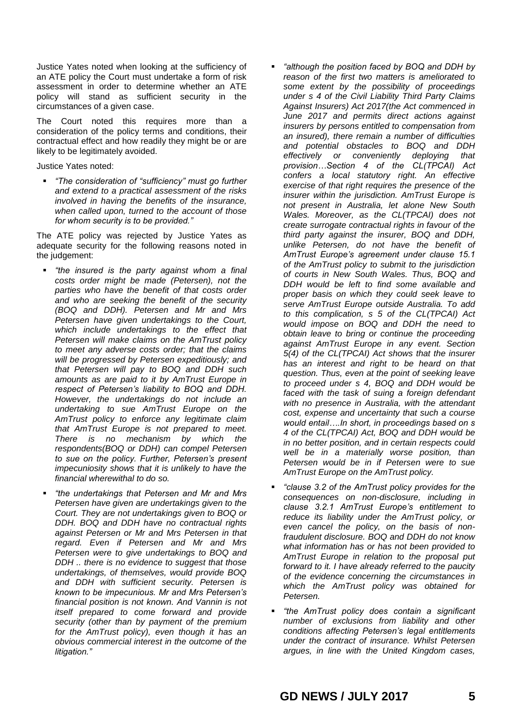Justice Yates noted when looking at the sufficiency of an ATE policy the Court must undertake a form of risk assessment in order to determine whether an ATE policy will stand as sufficient security in the circumstances of a given case.

The Court noted this requires more than a consideration of the policy terms and conditions, their contractual effect and how readily they might be or are likely to be legitimately avoided.

Justice Yates noted:

 *"The consideration of "sufficiency" must go further and extend to a practical assessment of the risks involved in having the benefits of the insurance, when called upon, turned to the account of those for whom security is to be provided."* 

The ATE policy was rejected by Justice Yates as adequate security for the following reasons noted in the judgement:

- *"the insured is the party against whom a final costs order might be made (Petersen), not the parties who have the benefit of that costs order and who are seeking the benefit of the security (BOQ and DDH). Petersen and Mr and Mrs Petersen have given undertakings to the Court, which include undertakings to the effect that Petersen will make claims on the AmTrust policy to meet any adverse costs order; that the claims will be progressed by Petersen expeditiously; and that Petersen will pay to BOQ and DDH such amounts as are paid to it by AmTrust Europe in respect of Petersen's liability to BOQ and DDH. However, the undertakings do not include an undertaking to sue AmTrust Europe on the AmTrust policy to enforce any legitimate claim that AmTrust Europe is not prepared to meet. There is no mechanism by which the respondents(BOQ or DDH) can compel Petersen to sue on the policy. Further, Petersen's present impecuniosity shows that it is unlikely to have the financial wherewithal to do so.*
- *"the undertakings that Petersen and Mr and Mrs Petersen have given are undertakings given to the Court. They are not undertakings given to BOQ or DDH. BOQ and DDH have no contractual rights against Petersen or Mr and Mrs Petersen in that regard. Even if Petersen and Mr and Mrs Petersen were to give undertakings to BOQ and DDH .. there is no evidence to suggest that those undertakings, of themselves, would provide BOQ and DDH with sufficient security. Petersen is known to be impecunious. Mr and Mrs Petersen's financial position is not known. And Vannin is not itself prepared to come forward and provide security (other than by payment of the premium for the AmTrust policy), even though it has an obvious commercial interest in the outcome of the litigation."*
- *"although the position faced by BOQ and DDH by reason of the first two matters is ameliorated to some extent by the possibility of proceedings under s 4 of the Civil Liability Third Party Claims Against Insurers) Act 2017(the Act commenced in June 2017 and permits direct actions against insurers by persons entitled to compensation from an insured), there remain a number of difficulties and potential obstacles to BOQ and DDH effectively or conveniently deploying that provision…Section 4 of the CL(TPCAI) Act confers a local statutory right. An effective exercise of that right requires the presence of the insurer within the jurisdiction. AmTrust Europe is not present in Australia, let alone New South Wales. Moreover, as the CL(TPCAI) does not create surrogate contractual rights in favour of the third party against the insurer, BOQ and DDH, unlike Petersen, do not have the benefit of AmTrust Europe's agreement under clause 15.1 of the AmTrust policy to submit to the jurisdiction of courts in New South Wales. Thus, BOQ and DDH would be left to find some available and proper basis on which they could seek leave to serve AmTrust Europe outside Australia. To add to this complication, s 5 of the CL(TPCAI) Act would impose on BOQ and DDH the need to obtain leave to bring or continue the proceeding against AmTrust Europe in any event. Section 5(4) of the CL(TPCAI) Act shows that the insurer has an interest and right to be heard on that question. Thus, even at the point of seeking leave to proceed under s 4, BOQ and DDH would be faced with the task of suing a foreign defendant with no presence in Australia, with the attendant cost, expense and uncertainty that such a course would entail….In short, in proceedings based on s 4 of the CL(TPCAI) Act, BOQ and DDH would be in no better position, and in certain respects could well be in a materially worse position, than Petersen would be in if Petersen were to sue AmTrust Europe on the AmTrust policy.*
- *"clause 3.2 of the AmTrust policy provides for the consequences on non-disclosure, including in clause 3.2.1 AmTrust Europe's entitlement to reduce its liability under the AmTrust policy, or even cancel the policy, on the basis of nonfraudulent disclosure. BOQ and DDH do not know what information has or has not been provided to AmTrust Europe in relation to the proposal put forward to it. I have already referred to the paucity of the evidence concerning the circumstances in which the AmTrust policy was obtained for Petersen.*
- *"the AmTrust policy does contain a significant number of exclusions from liability and other conditions affecting Petersen's legal entitlements under the contract of insurance. Whilst Petersen argues, in line with the United Kingdom cases,*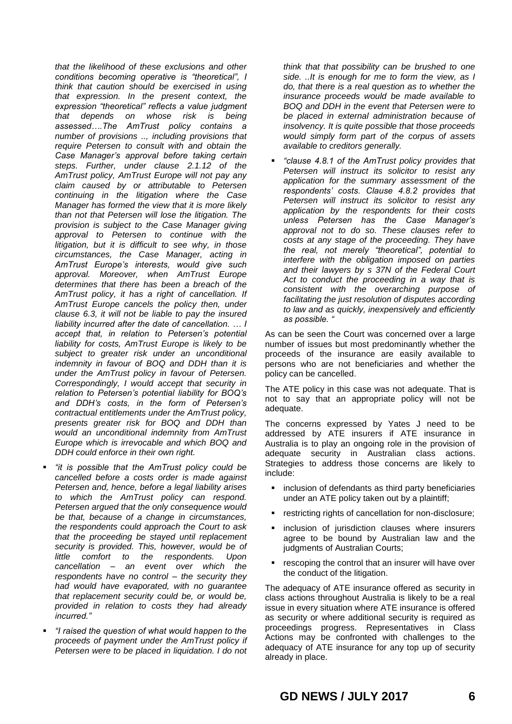*that the likelihood of these exclusions and other conditions becoming operative is "theoretical", I think that caution should be exercised in using that expression. In the present context, the expression "theoretical" reflects a value judgment that depends on whose risk is being assessed….The AmTrust policy contains a number of provisions .., including provisions that require Petersen to consult with and obtain the Case Manager's approval before taking certain steps. Further, under clause 2.1.12 of the AmTrust policy, AmTrust Europe will not pay any claim caused by or attributable to Petersen continuing in the litigation where the Case Manager has formed the view that it is more likely than not that Petersen will lose the litigation. The provision is subject to the Case Manager giving approval to Petersen to continue with the litigation, but it is difficult to see why, in those circumstances, the Case Manager, acting in AmTrust Europe's interests, would give such approval. Moreover, when AmTrust Europe determines that there has been a breach of the AmTrust policy, it has a right of cancellation. If AmTrust Europe cancels the policy then, under clause 6.3, it will not be liable to pay the insured liability incurred after the date of cancellation. … I accept that, in relation to Petersen's potential liability for costs, AmTrust Europe is likely to be subject to greater risk under an unconditional indemnity in favour of BOQ and DDH than it is under the AmTrust policy in favour of Petersen. Correspondingly, I would accept that security in relation to Petersen's potential liability for BOQ's and DDH's costs, in the form of Petersen's contractual entitlements under the AmTrust policy, presents greater risk for BOQ and DDH than would an unconditional indemnity from AmTrust Europe which is irrevocable and which BOQ and DDH could enforce in their own right.* 

- *"it is possible that the AmTrust policy could be cancelled before a costs order is made against Petersen and, hence, before a legal liability arises to which the AmTrust policy can respond. Petersen argued that the only consequence would be that, because of a change in circumstances, the respondents could approach the Court to ask that the proceeding be stayed until replacement security is provided. This, however, would be of little comfort to the respondents. Upon cancellation – an event over which the respondents have no control – the security they had would have evaporated, with no guarantee that replacement security could be, or would be, provided in relation to costs they had already incurred."*
- *"I raised the question of what would happen to the proceeds of payment under the AmTrust policy if Petersen were to be placed in liquidation. I do not*

*think that that possibility can be brushed to one side. ..It is enough for me to form the view, as I do, that there is a real question as to whether the insurance proceeds would be made available to BOQ and DDH in the event that Petersen were to be placed in external administration because of insolvency. It is quite possible that those proceeds would simply form part of the corpus of assets available to creditors generally.* 

 *"clause 4.8.1 of the AmTrust policy provides that Petersen will instruct its solicitor to resist any application for the summary assessment of the respondents' costs. Clause 4.8.2 provides that Petersen will instruct its solicitor to resist any application by the respondents for their costs unless Petersen has the Case Manager's approval not to do so. These clauses refer to costs at any stage of the proceeding. They have the real, not merely "theoretical", potential to interfere with the obligation imposed on parties and their lawyers by s 37N of the Federal Court Act to conduct the proceeding in a way that is consistent with the overarching purpose of facilitating the just resolution of disputes according to law and as quickly, inexpensively and efficiently as possible. "*

As can be seen the Court was concerned over a large number of issues but most predominantly whether the proceeds of the insurance are easily available to persons who are not beneficiaries and whether the policy can be cancelled.

The ATE policy in this case was not adequate. That is not to say that an appropriate policy will not be adequate.

The concerns expressed by Yates J need to be addressed by ATE insurers if ATE insurance in Australia is to play an ongoing role in the provision of adequate security in Australian class actions. Strategies to address those concerns are likely to include:

- **EXECUTE:** inclusion of defendants as third party beneficiaries under an ATE policy taken out by a plaintiff;
- restricting rights of cancellation for non-disclosure;
- **EXEC** inclusion of jurisdiction clauses where insurers agree to be bound by Australian law and the judgments of Australian Courts;
- **F** rescoping the control that an insurer will have over the conduct of the litigation.

The adequacy of ATE insurance offered as security in class actions throughout Australia is likely to be a real issue in every situation where ATE insurance is offered as security or where additional security is required as proceedings progress. Representatives in Class Actions may be confronted with challenges to the adequacy of ATE insurance for any top up of security already in place.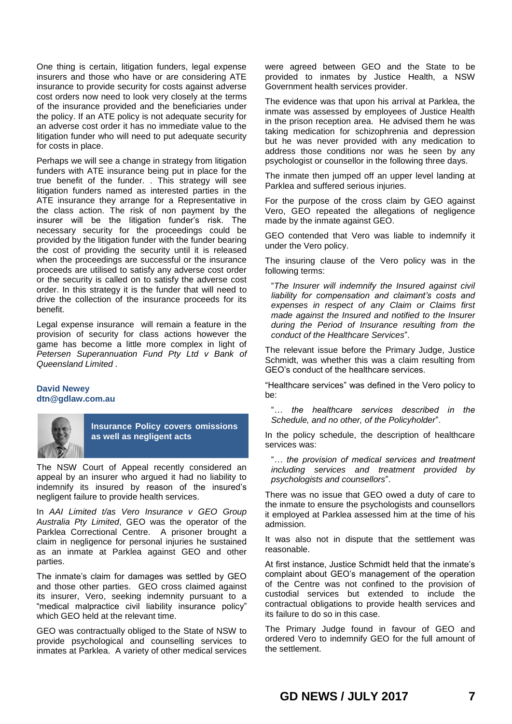One thing is certain, litigation funders, legal expense insurers and those who have or are considering ATE insurance to provide security for costs against adverse cost orders now need to look very closely at the terms of the insurance provided and the beneficiaries under the policy. If an ATE policy is not adequate security for an adverse cost order it has no immediate value to the litigation funder who will need to put adequate security for costs in place.

Perhaps we will see a change in strategy from litigation funders with ATE insurance being put in place for the true benefit of the funder. . This strategy will see litigation funders named as interested parties in the ATE insurance they arrange for a Representative in the class action. The risk of non payment by the insurer will be the litigation funder's risk. The necessary security for the proceedings could be provided by the litigation funder with the funder bearing the cost of providing the security until it is released when the proceedings are successful or the insurance proceeds are utilised to satisfy any adverse cost order or the security is called on to satisfy the adverse cost order. In this strategy it is the funder that will need to drive the collection of the insurance proceeds for its benefit.

Legal expense insurance will remain a feature in the provision of security for class actions however the game has become a little more complex in light of *Petersen Superannuation Fund Pty Ltd v Bank of Queensland Limited .*

### **David Newey dtn@gdlaw.com.au**



**Insurance Policy covers omissions as well as negligent acts**

The NSW Court of Appeal recently considered an appeal by an insurer who argued it had no liability to indemnify its insured by reason of the insured's negligent failure to provide health services.

In *AAI Limited t/as Vero Insurance v GEO Group Australia Pty Limited*, GEO was the operator of the Parklea Correctional Centre. A prisoner brought a claim in negligence for personal injuries he sustained as an inmate at Parklea against GEO and other parties.

The inmate's claim for damages was settled by GEO and those other parties. GEO cross claimed against its insurer, Vero, seeking indemnity pursuant to a "medical malpractice civil liability insurance policy" which GEO held at the relevant time.

GEO was contractually obliged to the State of NSW to provide psychological and counselling services to inmates at Parklea. A variety of other medical services

were agreed between GEO and the State to be provided to inmates by Justice Health, a NSW Government health services provider.

The evidence was that upon his arrival at Parklea, the inmate was assessed by employees of Justice Health in the prison reception area. He advised them he was taking medication for schizophrenia and depression but he was never provided with any medication to address those conditions nor was he seen by any psychologist or counsellor in the following three days.

The inmate then jumped off an upper level landing at Parklea and suffered serious injuries.

For the purpose of the cross claim by GEO against Vero, GEO repeated the allegations of negligence made by the inmate against GEO.

GEO contended that Vero was liable to indemnify it under the Vero policy.

The insuring clause of the Vero policy was in the following terms:

"*The Insurer will indemnify the Insured against civil liability for compensation and claimant's costs and expenses in respect of any Claim or Claims first made against the Insured and notified to the Insurer during the Period of Insurance resulting from the conduct of the Healthcare Services*".

The relevant issue before the Primary Judge, Justice Schmidt, was whether this was a claim resulting from GEO's conduct of the healthcare services.

"Healthcare services" was defined in the Vero policy to be:

"*… the healthcare services described in the Schedule, and no other, of the Policyholder*".

In the policy schedule, the description of healthcare services was:

"*… the provision of medical services and treatment including services and treatment provided by psychologists and counsellors*".

There was no issue that GEO owed a duty of care to the inmate to ensure the psychologists and counsellors it employed at Parklea assessed him at the time of his admission.

It was also not in dispute that the settlement was reasonable.

At first instance, Justice Schmidt held that the inmate's complaint about GEO's management of the operation of the Centre was not confined to the provision of custodial services but extended to include the contractual obligations to provide health services and its failure to do so in this case.

The Primary Judge found in favour of GEO and ordered Vero to indemnify GEO for the full amount of the settlement.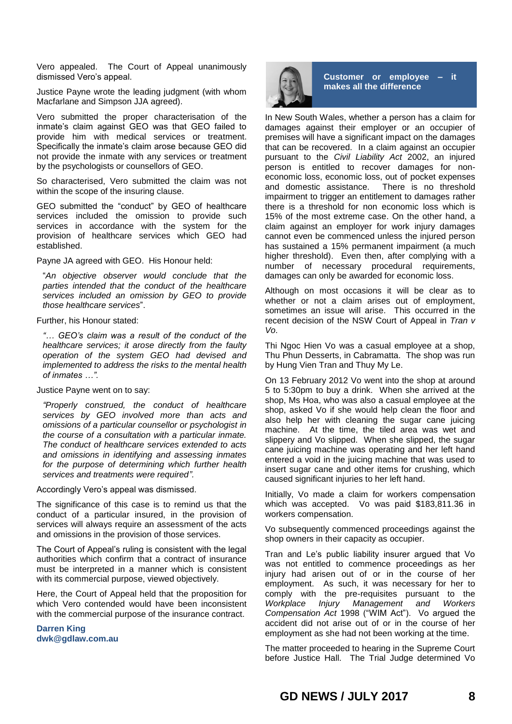Vero appealed. The Court of Appeal unanimously dismissed Vero's appeal.

Justice Payne wrote the leading judgment (with whom Macfarlane and Simpson JJA agreed).

Vero submitted the proper characterisation of the inmate's claim against GEO was that GEO failed to provide him with medical services or treatment. Specifically the inmate's claim arose because GEO did not provide the inmate with any services or treatment by the psychologists or counsellors of GEO.

So characterised, Vero submitted the claim was not within the scope of the insuring clause.

GEO submitted the "conduct" by GEO of healthcare services included the omission to provide such services in accordance with the system for the provision of healthcare services which GEO had established.

Payne JA agreed with GEO. His Honour held:

"*An objective observer would conclude that the parties intended that the conduct of the healthcare services included an omission by GEO to provide those healthcare services*".

Further, his Honour stated:

*"… GEO's claim was a result of the conduct of the healthcare services; it arose directly from the faulty operation of the system GEO had devised and implemented to address the risks to the mental health of inmates …".*

Justice Payne went on to say:

*"Properly construed, the conduct of healthcare services by GEO involved more than acts and omissions of a particular counsellor or psychologist in the course of a consultation with a particular inmate. The conduct of healthcare services extended to acts and omissions in identifying and assessing inmates for the purpose of determining which further health services and treatments were required".*

Accordingly Vero's appeal was dismissed.

The significance of this case is to remind us that the conduct of a particular insured, in the provision of services will always require an assessment of the acts and omissions in the provision of those services.

The Court of Appeal's ruling is consistent with the legal authorities which confirm that a contract of insurance must be interpreted in a manner which is consistent with its commercial purpose, viewed objectively.

Here, the Court of Appeal held that the proposition for which Vero contended would have been inconsistent with the commercial purpose of the insurance contract.

**Darren King dwk@gdlaw.com.au**



**Customer or employee – it makes all the difference**

In New South Wales, whether a person has a claim for damages against their employer or an occupier of premises will have a significant impact on the damages that can be recovered. In a claim against an occupier pursuant to the *Civil Liability Act* 2002, an injured person is entitled to recover damages for noneconomic loss, economic loss, out of pocket expenses and domestic assistance. There is no threshold impairment to trigger an entitlement to damages rather there is a threshold for non economic loss which is 15% of the most extreme case. On the other hand, a claim against an employer for work injury damages cannot even be commenced unless the injured person has sustained a 15% permanent impairment (a much higher threshold). Even then, after complying with a number of necessary procedural requirements, damages can only be awarded for economic loss.

Although on most occasions it will be clear as to whether or not a claim arises out of employment, sometimes an issue will arise. This occurred in the recent decision of the NSW Court of Appeal in *Tran v Vo*.

Thi Ngoc Hien Vo was a casual employee at a shop, Thu Phun Desserts, in Cabramatta. The shop was run by Hung Vien Tran and Thuy My Le.

On 13 February 2012 Vo went into the shop at around 5 to 5:30pm to buy a drink. When she arrived at the shop, Ms Hoa, who was also a casual employee at the shop, asked Vo if she would help clean the floor and also help her with cleaning the sugar cane juicing machine. At the time, the tiled area was wet and slippery and Vo slipped. When she slipped, the sugar cane juicing machine was operating and her left hand entered a void in the juicing machine that was used to insert sugar cane and other items for crushing, which caused significant injuries to her left hand.

Initially, Vo made a claim for workers compensation which was accepted. Vo was paid \$183,811.36 in workers compensation.

Vo subsequently commenced proceedings against the shop owners in their capacity as occupier.

Tran and Le's public liability insurer argued that Vo was not entitled to commence proceedings as her injury had arisen out of or in the course of her employment. As such, it was necessary for her to comply with the pre-requisites pursuant to the *Workplace Injury Management and Workers Compensation Act* 1998 ("WIM Act"). Vo argued the accident did not arise out of or in the course of her employment as she had not been working at the time.

The matter proceeded to hearing in the Supreme Court before Justice Hall. The Trial Judge determined Vo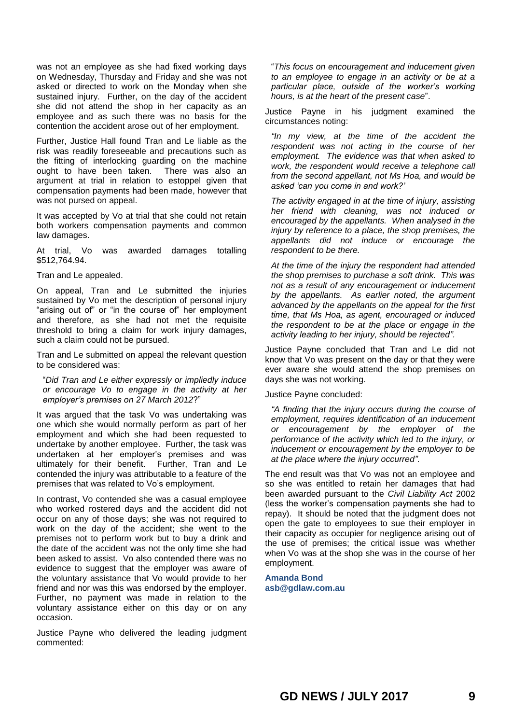was not an employee as she had fixed working days on Wednesday, Thursday and Friday and she was not asked or directed to work on the Monday when she sustained injury. Further, on the day of the accident she did not attend the shop in her capacity as an employee and as such there was no basis for the contention the accident arose out of her employment.

Further, Justice Hall found Tran and Le liable as the risk was readily foreseeable and precautions such as the fitting of interlocking guarding on the machine ought to have been taken. There was also an argument at trial in relation to estoppel given that compensation payments had been made, however that was not pursed on appeal.

It was accepted by Vo at trial that she could not retain both workers compensation payments and common law damages.

At trial, Vo was awarded damages totalling \$512,764.94.

Tran and Le appealed.

On appeal, Tran and Le submitted the injuries sustained by Vo met the description of personal injury "arising out of" or "in the course of" her employment and therefore, as she had not met the requisite threshold to bring a claim for work injury damages, such a claim could not be pursued.

Tran and Le submitted on appeal the relevant question to be considered was:

"*Did Tran and Le either expressly or impliedly induce or encourage Vo to engage in the activity at her employer's premises on 27 March 2012*?"

It was argued that the task Vo was undertaking was one which she would normally perform as part of her employment and which she had been requested to undertake by another employee. Further, the task was undertaken at her employer's premises and was ultimately for their benefit. Further, Tran and Le contended the injury was attributable to a feature of the premises that was related to Vo's employment.

In contrast, Vo contended she was a casual employee who worked rostered days and the accident did not occur on any of those days; she was not required to work on the day of the accident; she went to the premises not to perform work but to buy a drink and the date of the accident was not the only time she had been asked to assist. Vo also contended there was no evidence to suggest that the employer was aware of the voluntary assistance that Vo would provide to her friend and nor was this was endorsed by the employer. Further, no payment was made in relation to the voluntary assistance either on this day or on any occasion.

Justice Payne who delivered the leading judgment commented:

"*This focus on encouragement and inducement given to an employee to engage in an activity or be at a particular place, outside of the worker's working hours, is at the heart of the present case*".

Justice Payne in his judgment examined the circumstances noting:

*"In my view, at the time of the accident the respondent was not acting in the course of her employment. The evidence was that when asked to work, the respondent would receive a telephone call from the second appellant, not Ms Hoa, and would be asked 'can you come in and work?'*

*The activity engaged in at the time of injury, assisting her friend with cleaning, was not induced or encouraged by the appellants. When analysed in the injury by reference to a place, the shop premises, the appellants did not induce or encourage the respondent to be there.*

*At the time of the injury the respondent had attended the shop premises to purchase a soft drink. This was not as a result of any encouragement or inducement by the appellants. As earlier noted, the argument advanced by the appellants on the appeal for the first time, that Ms Hoa, as agent, encouraged or induced the respondent to be at the place or engage in the activity leading to her injury, should be rejected".*

Justice Payne concluded that Tran and Le did not know that Vo was present on the day or that they were ever aware she would attend the shop premises on days she was not working.

Justice Payne concluded:

*"A finding that the injury occurs during the course of employment, requires identification of an inducement or encouragement by the employer of the performance of the activity which led to the injury, or inducement or encouragement by the employer to be at the place where the injury occurred".*

The end result was that Vo was not an employee and so she was entitled to retain her damages that had been awarded pursuant to the *Civil Liability Act* 2002 (less the worker's compensation payments she had to repay). It should be noted that the judgment does not open the gate to employees to sue their employer in their capacity as occupier for negligence arising out of the use of premises; the critical issue was whether when Vo was at the shop she was in the course of her employment.

**Amanda Bond [asb@gdlaw.com.au](mailto:asb@gdlaw.com.au)**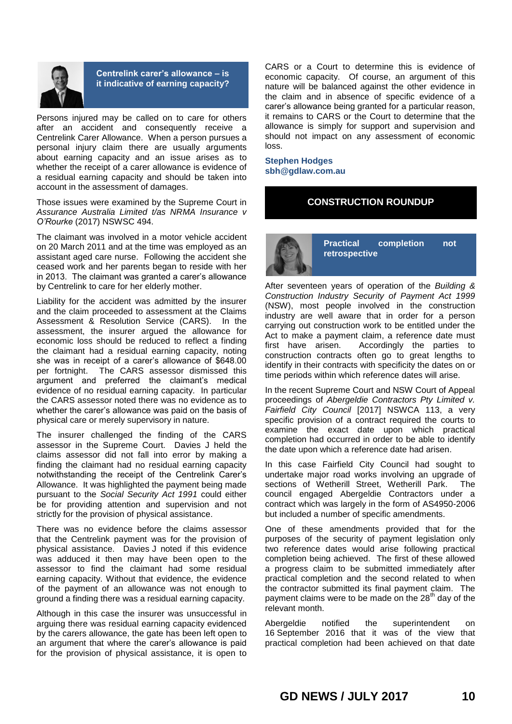

# **Centrelink carer's allowance – is it indicative of earning capacity?**

Persons injured may be called on to care for others after an accident and consequently receive a Centrelink Carer Allowance. When a person pursues a personal injury claim there are usually arguments about earning capacity and an issue arises as to whether the receipt of a carer allowance is evidence of a residual earning capacity and should be taken into account in the assessment of damages.

Those issues were examined by the Supreme Court in *Assurance Australia Limited t/as NRMA Insurance v O'Rourke* (2017) NSWSC 494.

The claimant was involved in a motor vehicle accident on 20 March 2011 and at the time was employed as an assistant aged care nurse. Following the accident she ceased work and her parents began to reside with her in 2013. The claimant was granted a carer's allowance by Centrelink to care for her elderly mother.

Liability for the accident was admitted by the insurer and the claim proceeded to assessment at the Claims Assessment & Resolution Service (CARS). In the assessment, the insurer argued the allowance for economic loss should be reduced to reflect a finding the claimant had a residual earning capacity, noting she was in receipt of a carer's allowance of \$648.00 per fortnight. The CARS assessor dismissed this argument and preferred the claimant's medical evidence of no residual earning capacity. In particular the CARS assessor noted there was no evidence as to whether the carer's allowance was paid on the basis of physical care or merely supervisory in nature.

The insurer challenged the finding of the CARS assessor in the Supreme Court. Davies J held the claims assessor did not fall into error by making a finding the claimant had no residual earning capacity notwithstanding the receipt of the Centrelink Carer's Allowance. It was highlighted the payment being made pursuant to the *Social Security Act 1991* could either be for providing attention and supervision and not strictly for the provision of physical assistance.

There was no evidence before the claims assessor that the Centrelink payment was for the provision of physical assistance. Davies J noted if this evidence was adduced it then may have been open to the assessor to find the claimant had some residual earning capacity. Without that evidence, the evidence of the payment of an allowance was not enough to ground a finding there was a residual earning capacity.

Although in this case the insurer was unsuccessful in arguing there was residual earning capacity evidenced by the carers allowance, the gate has been left open to an argument that where the carer's allowance is paid for the provision of physical assistance, it is open to

CARS or a Court to determine this is evidence of economic capacity. Of course, an argument of this nature will be balanced against the other evidence in the claim and in absence of specific evidence of a carer's allowance being granted for a particular reason, it remains to CARS or the Court to determine that the allowance is simply for support and supervision and should not impact on any assessment of economic loss.

**Stephen Hodges sbh@gdlaw.com.au**

# **CONSTRUCTION ROUNDUP**



**Practical completion not retrospective**

After seventeen years of operation of the *Building & Construction Industry Security of Payment Act 1999* (NSW), most people involved in the construction industry are well aware that in order for a person carrying out construction work to be entitled under the Act to make a payment claim, a reference date must first have arisen. Accordingly the parties to construction contracts often go to great lengths to identify in their contracts with specificity the dates on or time periods within which reference dates will arise.

In the recent Supreme Court and NSW Court of Appeal proceedings of *Abergeldie Contractors Pty Limited v. Fairfield City Council* [2017] NSWCA 113, a very specific provision of a contract required the courts to examine the exact date upon which practical completion had occurred in order to be able to identify the date upon which a reference date had arisen.

In this case Fairfield City Council had sought to undertake major road works involving an upgrade of sections of Wetherill Street, Wetherill Park. The council engaged Abergeldie Contractors under a contract which was largely in the form of AS4950-2006 but included a number of specific amendments.

One of these amendments provided that for the purposes of the security of payment legislation only two reference dates would arise following practical completion being achieved. The first of these allowed a progress claim to be submitted immediately after practical completion and the second related to when the contractor submitted its final payment claim. The payment claims were to be made on the  $28<sup>th</sup>$  day of the relevant month.

Abergeldie notified the superintendent on 16 September 2016 that it was of the view that practical completion had been achieved on that date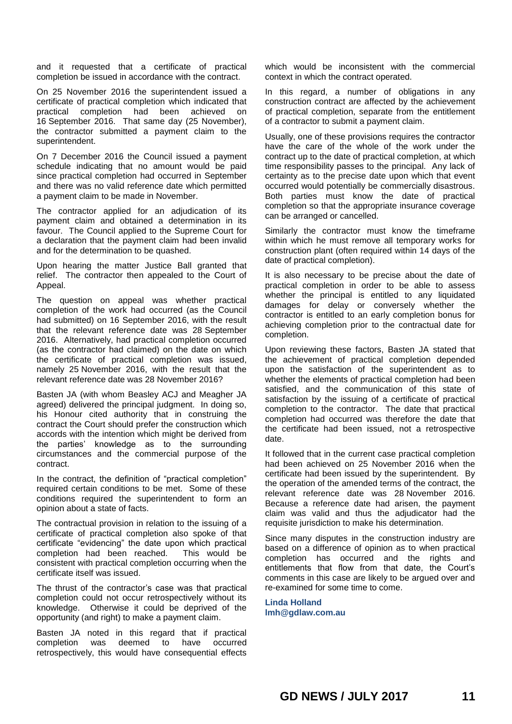and it requested that a certificate of practical completion be issued in accordance with the contract.

On 25 November 2016 the superintendent issued a certificate of practical completion which indicated that practical completion had been achieved on 16 September 2016. That same day (25 November), the contractor submitted a payment claim to the superintendent.

On 7 December 2016 the Council issued a payment schedule indicating that no amount would be paid since practical completion had occurred in September and there was no valid reference date which permitted a payment claim to be made in November.

The contractor applied for an adjudication of its payment claim and obtained a determination in its favour. The Council applied to the Supreme Court for a declaration that the payment claim had been invalid and for the determination to be quashed.

Upon hearing the matter Justice Ball granted that relief. The contractor then appealed to the Court of Appeal.

The question on appeal was whether practical completion of the work had occurred (as the Council had submitted) on 16 September 2016, with the result that the relevant reference date was 28 September 2016. Alternatively, had practical completion occurred (as the contractor had claimed) on the date on which the certificate of practical completion was issued, namely 25 November 2016, with the result that the relevant reference date was 28 November 2016?

Basten JA (with whom Beasley ACJ and Meagher JA agreed) delivered the principal judgment. In doing so, his Honour cited authority that in construing the contract the Court should prefer the construction which accords with the intention which might be derived from the parties' knowledge as to the surrounding circumstances and the commercial purpose of the contract.

In the contract, the definition of "practical completion" required certain conditions to be met. Some of these conditions required the superintendent to form an opinion about a state of facts.

The contractual provision in relation to the issuing of a certificate of practical completion also spoke of that certificate "evidencing" the date upon which practical completion had been reached. This would be consistent with practical completion occurring when the certificate itself was issued.

The thrust of the contractor's case was that practical completion could not occur retrospectively without its knowledge. Otherwise it could be deprived of the opportunity (and right) to make a payment claim.

Basten JA noted in this regard that if practical completion was deemed to have occurred retrospectively, this would have consequential effects

which would be inconsistent with the commercial context in which the contract operated.

In this regard, a number of obligations in any construction contract are affected by the achievement of practical completion, separate from the entitlement of a contractor to submit a payment claim.

Usually, one of these provisions requires the contractor have the care of the whole of the work under the contract up to the date of practical completion, at which time responsibility passes to the principal. Any lack of certainty as to the precise date upon which that event occurred would potentially be commercially disastrous. Both parties must know the date of practical completion so that the appropriate insurance coverage can be arranged or cancelled.

Similarly the contractor must know the timeframe within which he must remove all temporary works for construction plant (often required within 14 days of the date of practical completion).

It is also necessary to be precise about the date of practical completion in order to be able to assess whether the principal is entitled to any liquidated damages for delay or conversely whether the contractor is entitled to an early completion bonus for achieving completion prior to the contractual date for completion.

Upon reviewing these factors, Basten JA stated that the achievement of practical completion depended upon the satisfaction of the superintendent as to whether the elements of practical completion had been satisfied, and the communication of this state of satisfaction by the issuing of a certificate of practical completion to the contractor. The date that practical completion had occurred was therefore the date that the certificate had been issued, not a retrospective date.

It followed that in the current case practical completion had been achieved on 25 November 2016 when the certificate had been issued by the superintendent. By the operation of the amended terms of the contract, the relevant reference date was 28 November 2016. Because a reference date had arisen, the payment claim was valid and thus the adjudicator had the requisite jurisdiction to make his determination.

Since many disputes in the construction industry are based on a difference of opinion as to when practical completion has occurred and the rights and entitlements that flow from that date, the Court's comments in this case are likely to be argued over and re-examined for some time to come.

**Linda Holland lmh@gdlaw.com.au**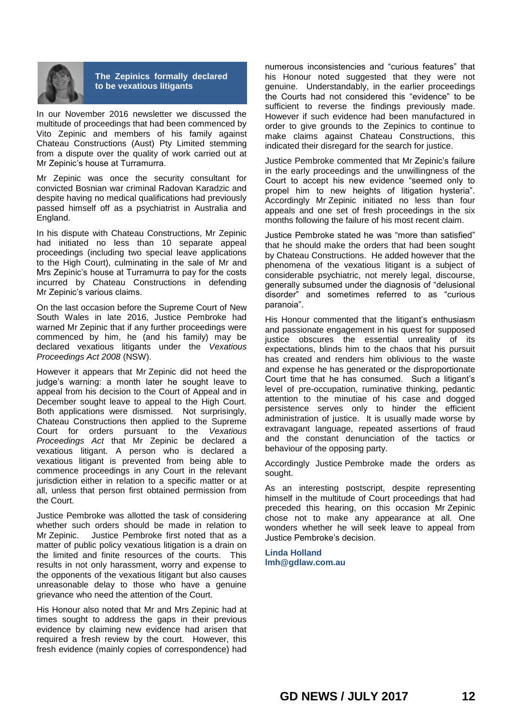

**The Zepinics formally declared to be vexatious litigants**

In our November 2016 newsletter we discussed the multitude of proceedings that had been commenced by Vito Zepinic and members of his family against Chateau Constructions (Aust) Pty Limited stemming from a dispute over the quality of work carried out at Mr Zepinic's house at Turramurra.

Mr Zepinic was once the security consultant for convicted Bosnian war criminal Radovan Karadzic and despite having no medical qualifications had previously passed himself off as a psychiatrist in Australia and England.

In his dispute with Chateau Constructions, Mr Zepinic had initiated no less than 10 separate appeal proceedings (including two special leave applications to the High Court), culminating in the sale of Mr and Mrs Zepinic's house at Turramurra to pay for the costs incurred by Chateau Constructions in defending Mr Zepinic's various claims.

On the last occasion before the Supreme Court of New South Wales in late 2016, Justice Pembroke had warned Mr Zepinic that if any further proceedings were commenced by him, he (and his family) may be declared vexatious litigants under the *Vexatious Proceedings Act 2008* (NSW).

However it appears that Mr Zepinic did not heed the judge's warning: a month later he sought leave to appeal from his decision to the Court of Appeal and in December sought leave to appeal to the High Court. Both applications were dismissed. Not surprisingly, Chateau Constructions then applied to the Supreme Court for orders pursuant to the *Vexatious Proceedings Act* that Mr Zepinic be declared a vexatious litigant. A person who is declared a vexatious litigant is prevented from being able to commence proceedings in any Court in the relevant jurisdiction either in relation to a specific matter or at all, unless that person first obtained permission from the Court.

Justice Pembroke was allotted the task of considering whether such orders should be made in relation to Mr Zepinic. Justice Pembroke first noted that as a matter of public policy vexatious litigation is a drain on the limited and finite resources of the courts. This results in not only harassment, worry and expense to the opponents of the vexatious litigant but also causes unreasonable delay to those who have a genuine grievance who need the attention of the Court.

His Honour also noted that Mr and Mrs Zepinic had at times sought to address the gaps in their previous evidence by claiming new evidence had arisen that required a fresh review by the court. However, this fresh evidence (mainly copies of correspondence) had

numerous inconsistencies and "curious features" that his Honour noted suggested that they were not genuine. Understandably, in the earlier proceedings the Courts had not considered this "evidence" to be sufficient to reverse the findings previously made. However if such evidence had been manufactured in order to give grounds to the Zepinics to continue to make claims against Chateau Constructions, this indicated their disregard for the search for justice.

Justice Pembroke commented that Mr Zepinic's failure in the early proceedings and the unwillingness of the Court to accept his new evidence "seemed only to propel him to new heights of litigation hysteria". Accordingly Mr Zepinic initiated no less than four appeals and one set of fresh proceedings in the six months following the failure of his most recent claim.

Justice Pembroke stated he was "more than satisfied" that he should make the orders that had been sought by Chateau Constructions. He added however that the phenomena of the vexatious litigant is a subject of considerable psychiatric, not merely legal, discourse, generally subsumed under the diagnosis of "delusional disorder" and sometimes referred to as "curious paranoia".

His Honour commented that the litigant's enthusiasm and passionate engagement in his quest for supposed justice obscures the essential unreality of its expectations, blinds him to the chaos that his pursuit has created and renders him oblivious to the waste and expense he has generated or the disproportionate Court time that he has consumed. Such a litigant's level of pre-occupation, ruminative thinking, pedantic attention to the minutiae of his case and dogged persistence serves only to hinder the efficient administration of justice. It is usually made worse by extravagant language, repeated assertions of fraud and the constant denunciation of the tactics or behaviour of the opposing party.

Accordingly Justice Pembroke made the orders as sought.

As an interesting postscript, despite representing himself in the multitude of Court proceedings that had preceded this hearing, on this occasion Mr Zepinic chose not to make any appearance at all. One wonders whether he will seek leave to appeal from Justice Pembroke's decision.

**Linda Holland [lmh@gdlaw.com.au](mailto:lmh@gdlaw.com.au)**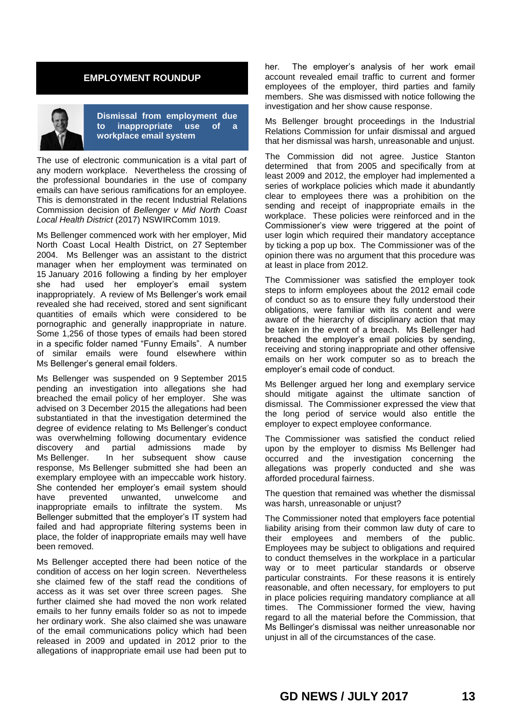# **EMPLOYMENT ROUNDUP**



**Dismissal from employment due to inappropriate use of a workplace email system**

The use of electronic communication is a vital part of any modern workplace. Nevertheless the crossing of the professional boundaries in the use of company emails can have serious ramifications for an employee. This is demonstrated in the recent Industrial Relations Commission decision of *Bellenger v Mid North Coast Local Health District* (2017) NSWIRComm 1019.

Ms Bellenger commenced work with her employer, Mid North Coast Local Health District, on 27 September 2004. Ms Bellenger was an assistant to the district manager when her employment was terminated on 15 January 2016 following a finding by her employer she had used her employer's email system inappropriately. A review of Ms Bellenger's work email revealed she had received, stored and sent significant quantities of emails which were considered to be pornographic and generally inappropriate in nature. Some 1,256 of those types of emails had been stored in a specific folder named "Funny Emails". A number of similar emails were found elsewhere within Ms Bellenger's general email folders.

Ms Bellenger was suspended on 9 September 2015 pending an investigation into allegations she had breached the email policy of her employer. She was advised on 3 December 2015 the allegations had been substantiated in that the investigation determined the degree of evidence relating to Ms Bellenger's conduct was overwhelming following documentary evidence discovery and partial admissions made by Ms Bellenger. In her subsequent show cause response, Ms Bellenger submitted she had been an exemplary employee with an impeccable work history. She contended her employer's email system should have prevented unwanted, unwelcome and inappropriate emails to infiltrate the system. Ms Bellenger submitted that the employer's IT system had failed and had appropriate filtering systems been in place, the folder of inappropriate emails may well have been removed.

Ms Bellenger accepted there had been notice of the condition of access on her login screen. Nevertheless she claimed few of the staff read the conditions of access as it was set over three screen pages. She further claimed she had moved the non work related emails to her funny emails folder so as not to impede her ordinary work. She also claimed she was unaware of the email communications policy which had been released in 2009 and updated in 2012 prior to the allegations of inappropriate email use had been put to

her. The employer's analysis of her work email account revealed email traffic to current and former employees of the employer, third parties and family members. She was dismissed with notice following the investigation and her show cause response.

Ms Bellenger brought proceedings in the Industrial Relations Commission for unfair dismissal and argued that her dismissal was harsh, unreasonable and unjust.

The Commission did not agree. Justice Stanton determined that from 2005 and specifically from at least 2009 and 2012, the employer had implemented a series of workplace policies which made it abundantly clear to employees there was a prohibition on the sending and receipt of inappropriate emails in the workplace. These policies were reinforced and in the Commissioner's view were triggered at the point of user login which required their mandatory acceptance by ticking a pop up box. The Commissioner was of the opinion there was no argument that this procedure was at least in place from 2012.

The Commissioner was satisfied the employer took steps to inform employees about the 2012 email code of conduct so as to ensure they fully understood their obligations, were familiar with its content and were aware of the hierarchy of disciplinary action that may be taken in the event of a breach. Ms Bellenger had breached the employer's email policies by sending, receiving and storing inappropriate and other offensive emails on her work computer so as to breach the employer's email code of conduct.

Ms Bellenger argued her long and exemplary service should mitigate against the ultimate sanction of dismissal. The Commissioner expressed the view that the long period of service would also entitle the employer to expect employee conformance.

The Commissioner was satisfied the conduct relied upon by the employer to dismiss Ms Bellenger had occurred and the investigation concerning the allegations was properly conducted and she was afforded procedural fairness.

The question that remained was whether the dismissal was harsh, unreasonable or unjust?

The Commissioner noted that employers face potential liability arising from their common law duty of care to their employees and members of the public. Employees may be subject to obligations and required to conduct themselves in the workplace in a particular way or to meet particular standards or observe particular constraints. For these reasons it is entirely reasonable, and often necessary, for employers to put in place policies requiring mandatory compliance at all times. The Commissioner formed the view, having regard to all the material before the Commission, that Ms Bellinger's dismissal was neither unreasonable nor unjust in all of the circumstances of the case.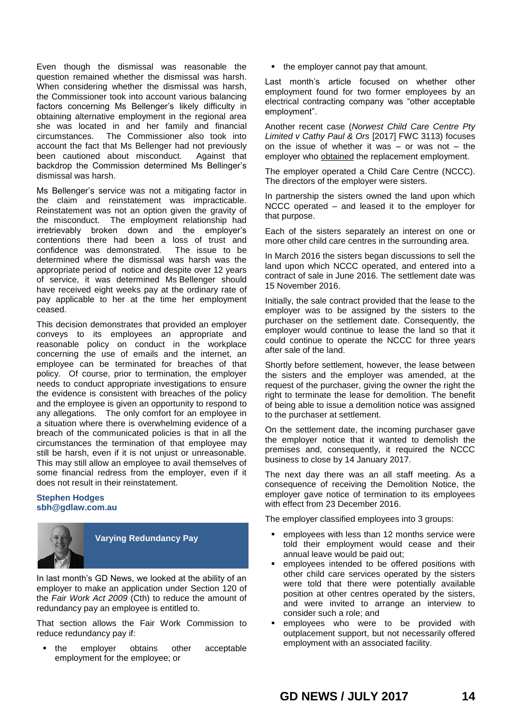Even though the dismissal was reasonable the question remained whether the dismissal was harsh. When considering whether the dismissal was harsh, the Commissioner took into account various balancing factors concerning Ms Bellenger's likely difficulty in obtaining alternative employment in the regional area she was located in and her family and financial circumstances. The Commissioner also took into account the fact that Ms Bellenger had not previously been cautioned about misconduct. Against that backdrop the Commission determined Ms Bellinger's dismissal was harsh.

Ms Bellenger's service was not a mitigating factor in the claim and reinstatement was impracticable. Reinstatement was not an option given the gravity of the misconduct. The employment relationship had irretrievably broken down and the employer's contentions there had been a loss of trust and confidence was demonstrated. The issue to be determined where the dismissal was harsh was the appropriate period of notice and despite over 12 years of service, it was determined Ms Bellenger should have received eight weeks pay at the ordinary rate of pay applicable to her at the time her employment ceased.

This decision demonstrates that provided an employer conveys to its employees an appropriate and reasonable policy on conduct in the workplace concerning the use of emails and the internet, an employee can be terminated for breaches of that policy. Of course, prior to termination, the employer needs to conduct appropriate investigations to ensure the evidence is consistent with breaches of the policy and the employee is given an opportunity to respond to any allegations. The only comfort for an employee in a situation where there is overwhelming evidence of a breach of the communicated policies is that in all the circumstances the termination of that employee may still be harsh, even if it is not unjust or unreasonable. This may still allow an employee to avail themselves of some financial redress from the employer, even if it does not result in their reinstatement.

## **Stephen Hodges sbh@gdlaw.com.au**



**Varying Redundancy Pay**

In last month's GD News, we looked at the ability of an employer to make an application under Section 120 of the *Fair Work Act 2009* (Cth) to reduce the amount of redundancy pay an employee is entitled to.

That section allows the Fair Work Commission to reduce redundancy pay if:

• the employer obtains other acceptable employment for the employee; or

• the employer cannot pay that amount.

Last month's article focused on whether other employment found for two former employees by an electrical contracting company was "other acceptable employment".

Another recent case (*Norwest Child Care Centre Pty Limited v Cathy Paul & Ors* [2017] FWC 3113) focuses on the issue of whether it was  $-$  or was not  $-$  the employer who obtained the replacement employment.

The employer operated a Child Care Centre (NCCC). The directors of the employer were sisters.

In partnership the sisters owned the land upon which NCCC operated – and leased it to the employer for that purpose.

Each of the sisters separately an interest on one or more other child care centres in the surrounding area.

In March 2016 the sisters began discussions to sell the land upon which NCCC operated, and entered into a contract of sale in June 2016. The settlement date was 15 November 2016.

Initially, the sale contract provided that the lease to the employer was to be assigned by the sisters to the purchaser on the settlement date. Consequently, the employer would continue to lease the land so that it could continue to operate the NCCC for three years after sale of the land.

Shortly before settlement, however, the lease between the sisters and the employer was amended, at the request of the purchaser, giving the owner the right the right to terminate the lease for demolition. The benefit of being able to issue a demolition notice was assigned to the purchaser at settlement.

On the settlement date, the incoming purchaser gave the employer notice that it wanted to demolish the premises and, consequently, it required the NCCC business to close by 14 January 2017.

The next day there was an all staff meeting. As a consequence of receiving the Demolition Notice, the employer gave notice of termination to its employees with effect from 23 December 2016.

The employer classified employees into 3 groups:

- **EXEC** employees with less than 12 months service were told their employment would cease and their annual leave would be paid out;
- employees intended to be offered positions with other child care services operated by the sisters were told that there were potentially available position at other centres operated by the sisters, and were invited to arrange an interview to consider such a role; and
- employees who were to be provided with outplacement support, but not necessarily offered employment with an associated facility.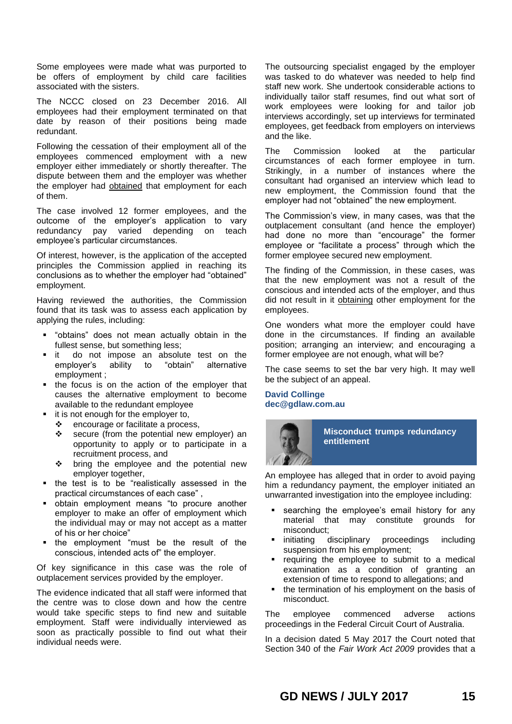Some employees were made what was purported to be offers of employment by child care facilities associated with the sisters.

The NCCC closed on 23 December 2016. All employees had their employment terminated on that date by reason of their positions being made redundant.

Following the cessation of their employment all of the employees commenced employment with a new employer either immediately or shortly thereafter. The dispute between them and the employer was whether the employer had obtained that employment for each of them.

The case involved 12 former employees, and the outcome of the employer's application to vary redundancy pay varied depending on teach employee's particular circumstances.

Of interest, however, is the application of the accepted principles the Commission applied in reaching its conclusions as to whether the employer had "obtained" employment.

Having reviewed the authorities, the Commission found that its task was to assess each application by applying the rules, including:

- "obtains" does not mean actually obtain in the fullest sense, but something less;
- **it** do not impose an absolute test on the employer's ability to "obtain" alternative employment ;
- the focus is on the action of the employer that causes the alternative employment to become available to the redundant employee
- it is not enough for the employer to,
	- $\div$  encourage or facilitate a process,
	- $\div$  secure (from the potential new employer) an opportunity to apply or to participate in a recruitment process, and
	- ❖ bring the employee and the potential new employer together,
- the test is to be "realistically assessed in the practical circumstances of each case" ,
- obtain employment means "to procure another employer to make an offer of employment which the individual may or may not accept as a matter of his or her choice"
- the employment "must be the result of the conscious, intended acts of" the employer.

Of key significance in this case was the role of outplacement services provided by the employer.

The evidence indicated that all staff were informed that the centre was to close down and how the centre would take specific steps to find new and suitable employment. Staff were individually interviewed as soon as practically possible to find out what their individual needs were.

The outsourcing specialist engaged by the employer was tasked to do whatever was needed to help find staff new work. She undertook considerable actions to individually tailor staff resumes, find out what sort of work employees were looking for and tailor job interviews accordingly, set up interviews for terminated employees, get feedback from employers on interviews and the like.

The Commission looked at the particular circumstances of each former employee in turn. Strikingly, in a number of instances where the consultant had organised an interview which lead to new employment, the Commission found that the employer had not "obtained" the new employment.

The Commission's view, in many cases, was that the outplacement consultant (and hence the employer) had done no more than "encourage" the former employee or "facilitate a process" through which the former employee secured new employment.

The finding of the Commission, in these cases, was that the new employment was not a result of the conscious and intended acts of the employer, and thus did not result in it obtaining other employment for the employees.

One wonders what more the employer could have done in the circumstances. If finding an available position; arranging an interview; and encouraging a former employee are not enough, what will be?

The case seems to set the bar very high. It may well be the subject of an appeal.

## **David Collinge dec@gdlaw.com.au**



**Misconduct trumps redundancy entitlement**

An employee has alleged that in order to avoid paying him a redundancy payment, the employer initiated an unwarranted investigation into the employee including:

- searching the employee's email history for any material that may constitute grounds for misconduct;
- initiating disciplinary proceedings including suspension from his employment;
- requiring the employee to submit to a medical examination as a condition of granting an extension of time to respond to allegations; and
- the termination of his employment on the basis of misconduct.

The employee commenced adverse actions proceedings in the Federal Circuit Court of Australia.

In a decision dated 5 May 2017 the Court noted that Section 340 of the *Fair Work Act 2009* provides that a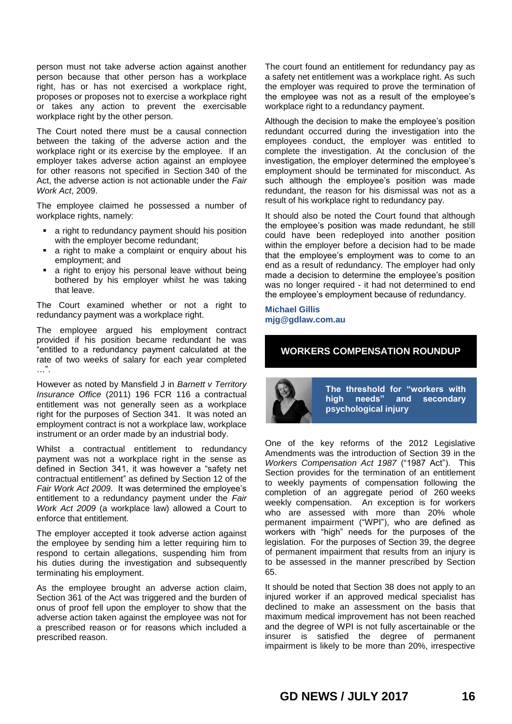person must not take adverse action against another person because that other person has a workplace right, has or has not exercised a workplace right, proposes or proposes not to exercise a workplace right or takes any action to prevent the exercisable workplace right by the other person.

The Court noted there must be a causal connection between the taking of the adverse action and the workplace right or its exercise by the employee. If an employer takes adverse action against an employee for other reasons not specified in Section 340 of the Act, the adverse action is not actionable under the *Fair Work Act*, 2009.

The employee claimed he possessed a number of workplace rights, namely:

- a right to redundancy payment should his position with the employer become redundant;
- a right to make a complaint or enquiry about his employment; and
- a right to enjoy his personal leave without being bothered by his employer whilst he was taking that leave.

The Court examined whether or not a right to redundancy payment was a workplace right.

The employee argued his employment contract provided if his position became redundant he was "entitled to a redundancy payment calculated at the rate of two weeks of salary for each year completed …".

However as noted by Mansfield J in *Barnett v Territory Insurance Office* (2011) 196 FCR 116 a contractual entitlement was not generally seen as a workplace right for the purposes of Section 341. It was noted an employment contract is not a workplace law, workplace instrument or an order made by an industrial body.

Whilst a contractual entitlement to redundancy payment was not a workplace right in the sense as defined in Section 341, it was however a "safety net contractual entitlement" as defined by Section 12 of the *Fair Work Act 2009*. It was determined the employee's entitlement to a redundancy payment under the *Fair Work Act 2009* (a workplace law) allowed a Court to enforce that entitlement.

The employer accepted it took adverse action against the employee by sending him a letter requiring him to respond to certain allegations, suspending him from his duties during the investigation and subsequently terminating his employment.

As the employee brought an adverse action claim, Section 361 of the Act was triggered and the burden of onus of proof fell upon the employer to show that the adverse action taken against the employee was not for a prescribed reason or for reasons which included a prescribed reason.

The court found an entitlement for redundancy pay as a safety net entitlement was a workplace right. As such the employer was required to prove the termination of the employee was not as a result of the employee's workplace right to a redundancy payment.

Although the decision to make the employee's position redundant occurred during the investigation into the employees conduct, the employer was entitled to complete the investigation. At the conclusion of the investigation, the employer determined the employee's employment should be terminated for misconduct. As such although the employee's position was made redundant, the reason for his dismissal was not as a result of his workplace right to redundancy pay.

It should also be noted the Court found that although the employee's position was made redundant, he still could have been redeployed into another position within the employer before a decision had to be made that the employee's employment was to come to an end as a result of redundancy. The employer had only made a decision to determine the employee's position was no longer required - it had not determined to end the employee's employment because of redundancy.

#### **Michael Gillis mjg@gdlaw.com.au**

# **WORKERS COMPENSATION ROUNDUP**



**The threshold for "workers with high needs" and secondary psychological injury**

One of the key reforms of the 2012 Legislative Amendments was the introduction of Section 39 in the *Workers Compensation Act 1987* ("1987 Act"). This Section provides for the termination of an entitlement to weekly payments of compensation following the completion of an aggregate period of 260 weeks weekly compensation. An exception is for workers who are assessed with more than 20% whole permanent impairment ("WPI"), who are defined as workers with "high" needs for the purposes of the legislation. For the purposes of Section 39, the degree of permanent impairment that results from an injury is to be assessed in the manner prescribed by Section 65.

It should be noted that Section 38 does not apply to an injured worker if an approved medical specialist has declined to make an assessment on the basis that maximum medical improvement has not been reached and the degree of WPI is not fully ascertainable or the insurer is satisfied the degree of permanent impairment is likely to be more than 20%, irrespective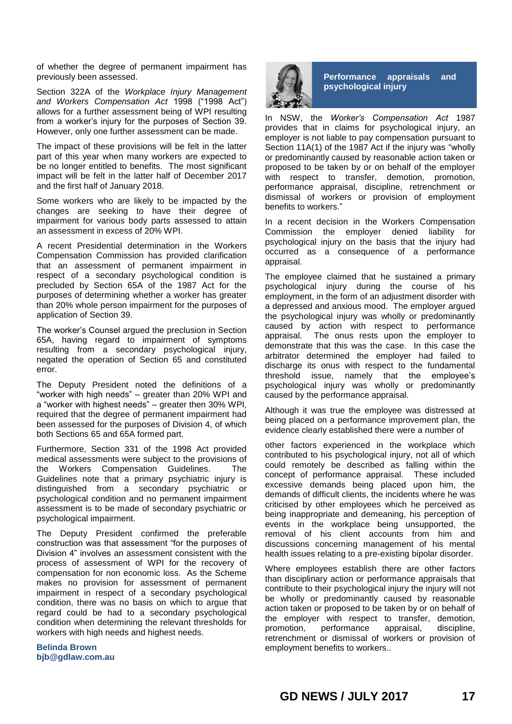of whether the degree of permanent impairment has previously been assessed.

Section 322A of the *Workplace Injury Management and Workers Compensation Act* 1998 ("1998 Act") allows for a further assessment being of WPI resulting from a worker's injury for the purposes of Section 39. However, only one further assessment can be made.

The impact of these provisions will be felt in the latter part of this year when many workers are expected to be no longer entitled to benefits. The most significant impact will be felt in the latter half of December 2017 and the first half of January 2018.

Some workers who are likely to be impacted by the changes are seeking to have their degree of impairment for various body parts assessed to attain an assessment in excess of 20% WPI.

A recent Presidential determination in the Workers Compensation Commission has provided clarification that an assessment of permanent impairment in respect of a secondary psychological condition is precluded by Section 65A of the 1987 Act for the purposes of determining whether a worker has greater than 20% whole person impairment for the purposes of application of Section 39.

The worker's Counsel argued the preclusion in Section 65A, having regard to impairment of symptoms resulting from a secondary psychological injury, negated the operation of Section 65 and constituted error.

The Deputy President noted the definitions of a "worker with high needs" – greater than 20% WPI and a "worker with highest needs" – greater then 30% WPI, required that the degree of permanent impairment had been assessed for the purposes of Division 4, of which both Sections 65 and 65A formed part.

Furthermore, Section 331 of the 1998 Act provided medical assessments were subject to the provisions of the Workers Compensation Guidelines. The Guidelines note that a primary psychiatric injury is distinguished from a secondary psychiatric or psychological condition and no permanent impairment assessment is to be made of secondary psychiatric or psychological impairment.

The Deputy President confirmed the preferable construction was that assessment "for the purposes of Division 4" involves an assessment consistent with the process of assessment of WPI for the recovery of compensation for non economic loss. As the Scheme makes no provision for assessment of permanent impairment in respect of a secondary psychological condition, there was no basis on which to argue that regard could be had to a secondary psychological condition when determining the relevant thresholds for workers with high needs and highest needs.

**Belinda Brown bjb@gdlaw.com.au**



**Performance appraisals and psychological injury**

In NSW, the *Worker's Compensation Act* 1987 provides that in claims for psychological injury, an employer is not liable to pay compensation pursuant to Section 11A(1) of the 1987 Act if the injury was "wholly or predominantly caused by reasonable action taken or proposed to be taken by or on behalf of the employer with respect to transfer, demotion, promotion, performance appraisal, discipline, retrenchment or dismissal of workers or provision of employment benefits to workers."

In a recent decision in the Workers Compensation Commission the employer denied liability for psychological injury on the basis that the injury had occurred as a consequence of a performance appraisal.

The employee claimed that he sustained a primary psychological injury during the course of his employment, in the form of an adjustment disorder with a depressed and anxious mood. The employer argued the psychological injury was wholly or predominantly caused by action with respect to performance appraisal. The onus rests upon the employer to demonstrate that this was the case. In this case the arbitrator determined the employer had failed to discharge its onus with respect to the fundamental threshold issue, namely that the employee's psychological injury was wholly or predominantly caused by the performance appraisal.

Although it was true the employee was distressed at being placed on a performance improvement plan, the evidence clearly established there were a number of

other factors experienced in the workplace which contributed to his psychological injury, not all of which could remotely be described as falling within the concept of performance appraisal. These included excessive demands being placed upon him, the demands of difficult clients, the incidents where he was criticised by other employees which he perceived as being inappropriate and demeaning, his perception of events in the workplace being unsupported, the removal of his client accounts from him and discussions concerning management of his mental health issues relating to a pre-existing bipolar disorder.

Where employees establish there are other factors than disciplinary action or performance appraisals that contribute to their psychological injury the injury will not be wholly or predominantly caused by reasonable action taken or proposed to be taken by or on behalf of the employer with respect to transfer, demotion, promotion, performance appraisal, discipline, retrenchment or dismissal of workers or provision of employment benefits to workers..